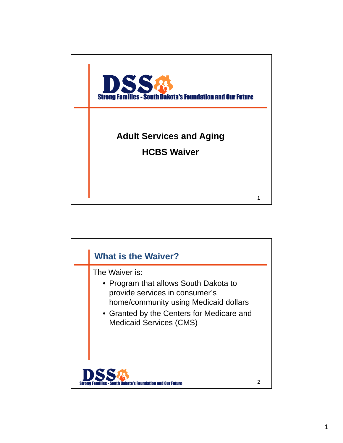

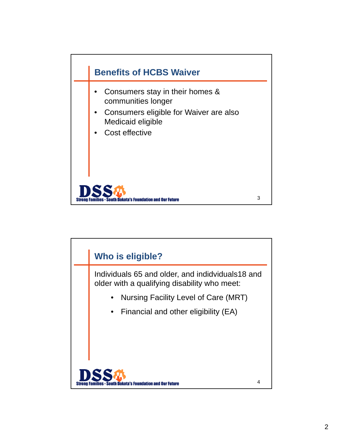

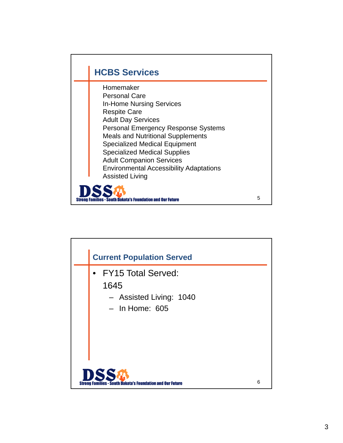

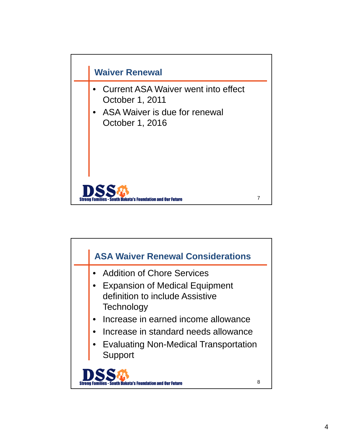